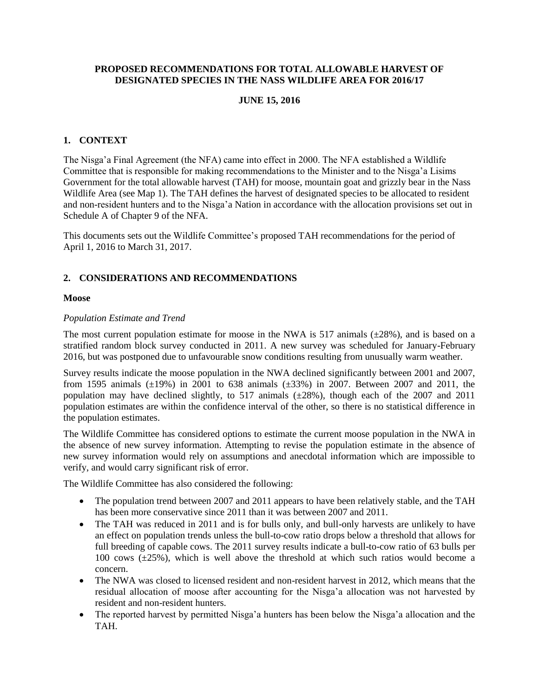### **PROPOSED RECOMMENDATIONS FOR TOTAL ALLOWABLE HARVEST OF DESIGNATED SPECIES IN THE NASS WILDLIFE AREA FOR 2016/17**

# **JUNE 15, 2016**

# **1. CONTEXT**

The Nisga'a Final Agreement (the NFA) came into effect in 2000. The NFA established a Wildlife Committee that is responsible for making recommendations to the Minister and to the Nisga'a Lisims Government for the total allowable harvest (TAH) for moose, mountain goat and grizzly bear in the Nass Wildlife Area (see Map 1). The TAH defines the harvest of designated species to be allocated to resident and non-resident hunters and to the Nisga'a Nation in accordance with the allocation provisions set out in Schedule A of Chapter 9 of the NFA.

This documents sets out the Wildlife Committee's proposed TAH recommendations for the period of April 1, 2016 to March 31, 2017.

# **2. CONSIDERATIONS AND RECOMMENDATIONS**

### **Moose**

#### *Population Estimate and Trend*

The most current population estimate for moose in the NWA is 517 animals  $(\pm 28\%)$ , and is based on a stratified random block survey conducted in 2011. A new survey was scheduled for January-February 2016, but was postponed due to unfavourable snow conditions resulting from unusually warm weather.

Survey results indicate the moose population in the NWA declined significantly between 2001 and 2007, from 1595 animals  $(\pm 19\%)$  in 2001 to 638 animals  $(\pm 33\%)$  in 2007. Between 2007 and 2011, the population may have declined slightly, to 517 animals (±28%), though each of the 2007 and 2011 population estimates are within the confidence interval of the other, so there is no statistical difference in the population estimates.

The Wildlife Committee has considered options to estimate the current moose population in the NWA in the absence of new survey information. Attempting to revise the population estimate in the absence of new survey information would rely on assumptions and anecdotal information which are impossible to verify, and would carry significant risk of error.

The Wildlife Committee has also considered the following:

- The population trend between 2007 and 2011 appears to have been relatively stable, and the TAH has been more conservative since 2011 than it was between 2007 and 2011.
- The TAH was reduced in 2011 and is for bulls only, and bull-only harvests are unlikely to have an effect on population trends unless the bull-to-cow ratio drops below a threshold that allows for full breeding of capable cows. The 2011 survey results indicate a bull-to-cow ratio of 63 bulls per 100 cows  $(\pm 25\%)$ , which is well above the threshold at which such ratios would become a concern.
- The NWA was closed to licensed resident and non-resident harvest in 2012, which means that the residual allocation of moose after accounting for the Nisga'a allocation was not harvested by resident and non-resident hunters.
- The reported harvest by permitted Nisga'a hunters has been below the Nisga'a allocation and the TAH.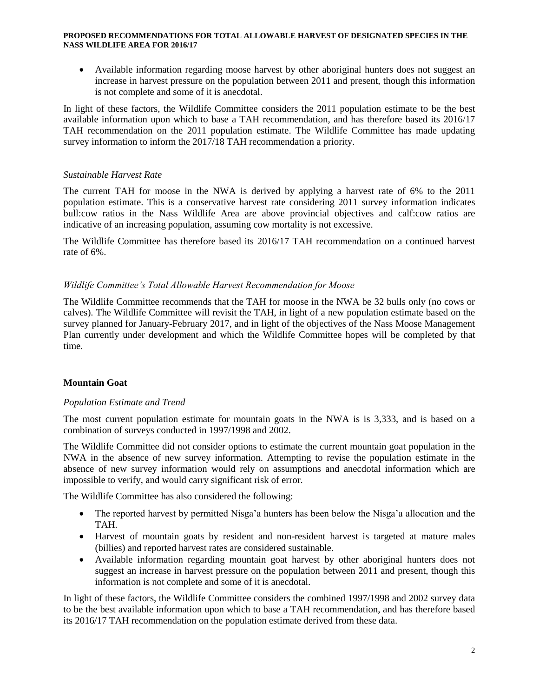#### **PROPOSED RECOMMENDATIONS FOR TOTAL ALLOWABLE HARVEST OF DESIGNATED SPECIES IN THE NASS WILDLIFE AREA FOR 2016/17**

 Available information regarding moose harvest by other aboriginal hunters does not suggest an increase in harvest pressure on the population between 2011 and present, though this information is not complete and some of it is anecdotal.

In light of these factors, the Wildlife Committee considers the 2011 population estimate to be the best available information upon which to base a TAH recommendation, and has therefore based its 2016/17 TAH recommendation on the 2011 population estimate. The Wildlife Committee has made updating survey information to inform the 2017/18 TAH recommendation a priority.

## *Sustainable Harvest Rate*

The current TAH for moose in the NWA is derived by applying a harvest rate of 6% to the 2011 population estimate. This is a conservative harvest rate considering 2011 survey information indicates bull:cow ratios in the Nass Wildlife Area are above provincial objectives and calf:cow ratios are indicative of an increasing population, assuming cow mortality is not excessive.

The Wildlife Committee has therefore based its 2016/17 TAH recommendation on a continued harvest rate of 6%.

# *Wildlife Committee's Total Allowable Harvest Recommendation for Moose*

The Wildlife Committee recommends that the TAH for moose in the NWA be 32 bulls only (no cows or calves). The Wildlife Committee will revisit the TAH, in light of a new population estimate based on the survey planned for January-February 2017, and in light of the objectives of the Nass Moose Management Plan currently under development and which the Wildlife Committee hopes will be completed by that time.

# **Mountain Goat**

### *Population Estimate and Trend*

The most current population estimate for mountain goats in the NWA is is 3,333, and is based on a combination of surveys conducted in 1997/1998 and 2002.

The Wildlife Committee did not consider options to estimate the current mountain goat population in the NWA in the absence of new survey information. Attempting to revise the population estimate in the absence of new survey information would rely on assumptions and anecdotal information which are impossible to verify, and would carry significant risk of error.

The Wildlife Committee has also considered the following:

- The reported harvest by permitted Nisga'a hunters has been below the Nisga'a allocation and the TAH.
- Harvest of mountain goats by resident and non-resident harvest is targeted at mature males (billies) and reported harvest rates are considered sustainable.
- Available information regarding mountain goat harvest by other aboriginal hunters does not suggest an increase in harvest pressure on the population between 2011 and present, though this information is not complete and some of it is anecdotal.

In light of these factors, the Wildlife Committee considers the combined 1997/1998 and 2002 survey data to be the best available information upon which to base a TAH recommendation, and has therefore based its 2016/17 TAH recommendation on the population estimate derived from these data.